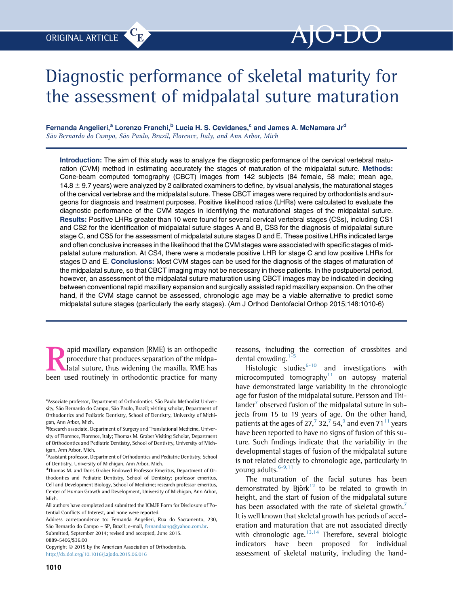# Diagnostic performance of skeletal maturity for the assessment of midpalatal suture maturation

# Fernanda Angelieri,<sup>a</sup> Lorenzo Franchi,<sup>b</sup> Lucia H. S. Cevidanes,<sup>c</sup> and James A. McNamara Jr<sup>d</sup> São Bernardo do Campo, São Paulo, Brazil, Florence, Italy, and Ann Arbor, Mich

Introduction: The aim of this study was to analyze the diagnostic performance of the cervical vertebral maturation (CVM) method in estimating accurately the stages of maturation of the midpalatal suture. Methods: Cone-beam computed tomography (CBCT) images from 142 subjects (84 female, 58 male; mean age, 14.8  $\pm$  9.7 years) were analyzed by 2 calibrated examiners to define, by visual analysis, the maturational stages of the cervical vertebrae and the midpalatal suture. These CBCT images were required by orthodontists and surgeons for diagnosis and treatment purposes. Positive likelihood ratios (LHRs) were calculated to evaluate the diagnostic performance of the CVM stages in identifying the maturational stages of the midpalatal suture. Results: Positive LHRs greater than 10 were found for several cervical vertebral stages (CSs), including CS1 and CS2 for the identification of midpalatal suture stages A and B, CS3 for the diagnosis of midpalatal suture stage C, and CS5 for the assessment of midpalatal suture stages D and E. These positive LHRs indicated large and often conclusive increases in the likelihood that the CVM stages were associated with specific stages of midpalatal suture maturation. At CS4, there were a moderate positive LHR for stage C and low positive LHRs for stages D and E. Conclusions: Most CVM stages can be used for the diagnosis of the stages of maturation of the midpalatal suture, so that CBCT imaging may not be necessary in these patients. In the postpubertal period, however, an assessment of the midpalatal suture maturation using CBCT images may be indicated in deciding between conventional rapid maxillary expansion and surgically assisted rapid maxillary expansion. On the other hand, if the CVM stage cannot be assessed, chronologic age may be a viable alternative to predict some midpalatal suture stages (particularly the early stages). (Am J Orthod Dentofacial Orthop 2015;148:1010-6)

**Expansion (RME)** is an orthopedic<br>procedure that produces separation of the midpa-<br>latal suture, thus widening the maxilla. RME has<br>heen used routinely in orthodontic practice for many procedure that produces separation of the midpalatal suture, thus widening the maxilla. RME has been used routinely in orthodontic practice for many

Address correspondence to: Fernanda Angelieri, Rua do Sacramento, 230, São Bernardo do Campo – SP, Brazil; e-mail, [fernandaang@yahoo.com.br](mailto:fernandaang@yahoo.com.br). Submitted, September 2014; revised and accepted, June 2015. 0889-5406/\$36.00

Copyright  $©$  2015 by the American Association of Orthodontists. <http://dx.doi.org/10.1016/j.ajodo.2015.06.016>

reasons, including the correction of crossbites and dental crowding.<sup>1-</sup>

Histologic studies<sup>[6-10](#page-6-0)</sup> and investigations with microcomputed tomography $11$  on autopsy material have demonstrated large variability in the chronologic age for fusion of the midpalatal suture. Persson and Thi-lander<sup>[7](#page-6-0)</sup> observed fusion of the midpalatal suture in subjects from 15 to 19 years of age. On the other hand, patients at the ages of 2[7](#page-6-0),<sup>7</sup> 32,<sup>7</sup> 54,<sup>[9](#page-6-0)</sup> and even 71<sup>[11](#page-6-0)</sup> years have been reported to have no signs of fusion of this suture. Such findings indicate that the variability in the developmental stages of fusion of the midpalatal suture is not related directly to chronologic age, particularly in young adults.<sup>[6-9,11](#page-6-0)</sup>

The maturation of the facial sutures has been demonstrated by Björk $12$  to be related to growth in height, and the start of fusion of the midpalatal suture has been associated with the rate of skeletal growth.<sup>[7](#page-6-0)</sup> It is well known that skeletal growth has periods of acceleration and maturation that are not associated directly with chronologic age. $13,14$  Therefore, several biologic indicators have been proposed for individual assessment of skeletal maturity, including the hand-

<sup>&</sup>lt;sup>a</sup> Associate professor, Department of Orthodontics, São Paulo Methodist University, São Bernardo do Campo, São Paulo, Brazil; visiting scholar, Department of Orthodontics and Pediatric Dentistry, School of Dentistry, University of Michigan, Ann Arbor, Mich.

<sup>&</sup>lt;sup>b</sup>Research associate, Department of Surgery and Translational Medicine, University of Florence, Florence, Italy; Thomas M. Graber Visiting Scholar, Department of Orthodontics and Pediatric Dentistry, School of Dentistry, University of Michigan, Ann Arbor, Mich.

<sup>&</sup>lt;sup>c</sup>Assistant professor, Department of Orthodontics and Pediatric Dentistry, School of Dentistry, University of Michigan, Ann Arbor, Mich.

<sup>&</sup>lt;sup>d</sup>Thomas M. and Doris Graber Endowed Professor Emeritus, Department of Orthodontics and Pediatric Dentistry, School of Dentistry; professor emeritus, Cell and Development Biology, School of Medicine; research professor emeritus, Center of Human Growth and Development, University of Michigan, Ann Arbor, Mich.

All authors have completed and submitted the ICMJE Form for Disclosure of Potential Conflicts of Interest, and none were reported.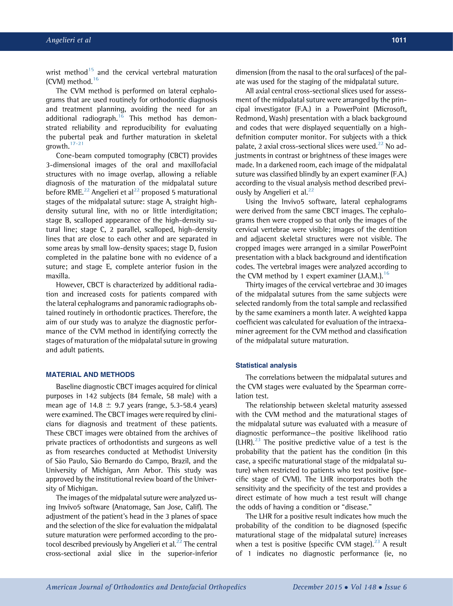wrist method $15$  and the cervical vertebral maturation (CVM) method. $16$ 

The CVM method is performed on lateral cephalograms that are used routinely for orthodontic diagnosis and treatment planning, avoiding the need for an additional radiograph.<sup>[16](#page-6-0)</sup> This method has demonstrated reliability and reproducibility for evaluating the pubertal peak and further maturation in skeletal growth. $17-21$ 

Cone-beam computed tomography (CBCT) provides 3-dimensional images of the oral and maxillofacial structures with no image overlap, allowing a reliable diagnosis of the maturation of the midpalatal suture before RME.<sup>[22](#page-6-0)</sup> Angelieri et al<sup>22</sup> proposed 5 maturational stages of the midpalatal suture: stage A, straight highdensity sutural line, with no or little interdigitation; stage B, scalloped appearance of the high-density sutural line; stage C, 2 parallel, scalloped, high-density lines that are close to each other and are separated in some areas by small low-density spaces; stage D, fusion completed in the palatine bone with no evidence of a suture; and stage E, complete anterior fusion in the maxilla.

However, CBCT is characterized by additional radiation and increased costs for patients compared with the lateral cephalograms and panoramic radiographs obtained routinely in orthodontic practices. Therefore, the aim of our study was to analyze the diagnostic performance of the CVM method in identifying correctly the stages of maturation of the midpalatal suture in growing and adult patients.

# MATERIAL AND METHODS

Baseline diagnostic CBCT images acquired for clinical purposes in 142 subjects (84 female, 58 male) with a mean age of 14.8  $\pm$  9.7 years (range, 5.3-58.4 years) were examined. The CBCT images were required by clinicians for diagnosis and treatment of these patients. These CBCT images were obtained from the archives of private practices of orthodontists and surgeons as well as from researches conducted at Methodist University of São Paulo, São Bernardo do Campo, Brazil, and the University of Michigan, Ann Arbor. This study was approved by the institutional review board of the University of Michigan.

The images of the midpalatal suture were analyzed using Invivo5 software (Anatomage, San Jose, Calif). The adjustment of the patient's head in the 3 planes of space and the selection of the slice for evaluation the midpalatal suture maturation were performed according to the protocol described previously by Angelieri et al. $^{22}$  $^{22}$  $^{22}$  The central cross-sectional axial slice in the superior-inferior dimension (from the nasal to the oral surfaces) of the palate was used for the staging of the midpalatal suture.

All axial central cross-sectional slices used for assessment of the midpalatal suture were arranged by the principal investigator (F.A.) in a PowerPoint (Microsoft, Redmond, Wash) presentation with a black background and codes that were displayed sequentially on a highdefinition computer monitor. For subjects with a thick palate, 2 axial cross-sectional slices were used. $^{22}$  $^{22}$  $^{22}$  No adjustments in contrast or brightness of these images were made. In a darkened room, each image of the midpalatal suture was classified blindly by an expert examiner (F.A.) according to the visual analysis method described previ-ously by Angelieri et al.<sup>[22](#page-6-0)</sup>

Using the Invivo5 software, lateral cephalograms were derived from the same CBCT images. The cephalograms then were cropped so that only the images of the cervical vertebrae were visible; images of the dentition and adjacent skeletal structures were not visible. The cropped images were arranged in a similar PowerPoint presentation with a black background and identification codes. The vertebral images were analyzed according to the CVM method by 1 expert examiner  $(3.A.M.)$ .<sup>16</sup>

Thirty images of the cervical vertebrae and 30 images of the midpalatal sutures from the same subjects were selected randomly from the total sample and reclassified by the same examiners a month later. A weighted kappa coefficient was calculated for evaluation of the intraexaminer agreement for the CVM method and classification of the midpalatal suture maturation.

# Statistical analysis

The correlations between the midpalatal sutures and the CVM stages were evaluated by the Spearman correlation test.

The relationship between skeletal maturity assessed with the CVM method and the maturational stages of the midpalatal suture was evaluated with a measure of diagnostic performance—the positive likelihood ratio  $(LHR).^{23}$  $(LHR).^{23}$  $(LHR).^{23}$  The positive predictive value of a test is the probability that the patient has the condition (in this case, a specific maturational stage of the midpalatal suture) when restricted to patients who test positive (specific stage of CVM). The LHR incorporates both the sensitivity and the specificity of the test and provides a direct estimate of how much a test result will change the odds of having a condition or "disease."

The LHR for a positive result indicates how much the probability of the condition to be diagnosed (specific maturational stage of the midpalatal suture) increases when a test is positive (specific CVM stage). $^{23}$  $^{23}$  $^{23}$  A result of 1 indicates no diagnostic performance (ie, no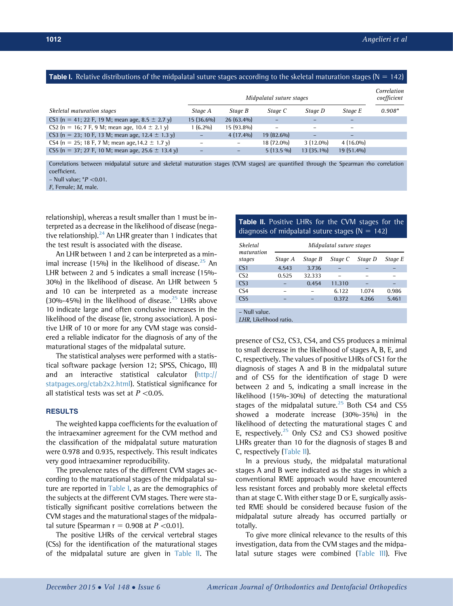### <span id="page-2-0"></span>**Table I.** Relative distributions of the midpalatal suture stages according to the skeletal maturation stages ( $N = 142$ )

|                                                       | Midpalatal suture stages |              |             |              |              |          |
|-------------------------------------------------------|--------------------------|--------------|-------------|--------------|--------------|----------|
| Skeletal maturation stages                            | Stage A                  | Stage B      | Stage C     | Stage D      | Stage E      | $0.908*$ |
| CS1 (n = 41; 22 F, 19 M; mean age, 8.5 $\pm$ 2.7 y)   | $15(36.6\%)$             | $26(63.4\%)$ |             |              | -            |          |
| CS2 (n = 16; 7 F, 9 M; mean age, 10.4 $\pm$ 2.1 y)    | $(6.2\%)$                | $15(93.8\%)$ |             | -            | -            |          |
| CS3 (n = 23; 10 F, 13 M; mean age, 12.4 $\pm$ 1.3 y)  |                          | $4(17.4\%)$  | 19 (82.6%)  |              |              |          |
| CS4 (n = 25; 18 F, 7 M; mean age, 14.2 $\pm$ 1.7 y)   |                          |              | 18 (72.0%)  | $3(12.0\%)$  | $4(16.0\%)$  |          |
| CS5 (n = 37; 27 F, 10 M; mean age, 25.6 $\pm$ 13.4 y) |                          |              | $5(13.5\%)$ | $13(35.1\%)$ | $19(51.4\%)$ |          |
|                                                       |                          |              |             |              |              |          |

Correlations between midpalatal suture and skeletal maturation stages (CVM stages) are quantified through the Spearman rho correlation coefficient.

– Null value;  $*P < 0.01$ .

F, Female; M, male.

relationship), whereas a result smaller than 1 must be interpreted as a decrease in the likelihood of disease (negative relationship). $^{24}$  $^{24}$  $^{24}$  An LHR greater than 1 indicates that the test result is associated with the disease.

An LHR between 1 and 2 can be interpreted as a minimal increase (15%) in the likelihood of disease. $^{25}$  $^{25}$  $^{25}$  An LHR between 2 and 5 indicates a small increase (15%- 30%) in the likelihood of disease. An LHR between 5 and 10 can be interpreted as a moderate increase  $(30\% - 45\%)$  in the likelihood of disease.<sup>[25](#page-6-0)</sup> LHRs above 10 indicate large and often conclusive increases in the likelihood of the disease (ie, strong association). A positive LHR of 10 or more for any CVM stage was considered a reliable indicator for the diagnosis of any of the maturational stages of the midpalatal suture.

The statistical analyses were performed with a statistical software package (version 12; SPSS, Chicago, Ill) and an interactive statistical calculator [\(http://](http://statpages.org/ctab2x2.html) [statpages.org/ctab2x2.html](http://statpages.org/ctab2x2.html)). Statistical significance for all statistical tests was set at  $P < 0.05$ .

# **RESULTS**

The weighted kappa coefficients for the evaluation of the intraexaminer agreement for the CVM method and the classification of the midpalatal suture maturation were 0.978 and 0.935, respectively. This result indicates very good intraexaminer reproducibility.

The prevalence rates of the different CVM stages according to the maturational stages of the midpalatal suture are reported in Table I, as are the demographics of the subjects at the different CVM stages. There were statistically significant positive correlations between the CVM stages and the maturational stages of the midpalatal suture (Spearman  $r = 0.908$  at  $P < 0.01$ ).

The positive LHRs of the cervical vertebral stages (CSs) for the identification of the maturational stages of the midpalatal suture are given in Table II. The

# Table II. Positive LHRs for the CVM stages for the diagnosis of midpalatal suture stages ( $N = 142$ )

| <b>Skeletal</b><br>maturation<br>stages | Midpalatal suture stages |         |         |         |         |  |  |
|-----------------------------------------|--------------------------|---------|---------|---------|---------|--|--|
|                                         | Stage A                  | Stage B | Stage C | Stage D | Stage E |  |  |
| CS <sub>1</sub>                         | 4.543                    | 3.736   |         |         |         |  |  |
| CS <sub>2</sub>                         | 0.525                    | 32.333  |         |         |         |  |  |
| CS <sub>3</sub>                         |                          | 0.454   | 11.310  |         |         |  |  |
| $\mathsf{CS}4$                          |                          |         | 6.122   | 1.074   | 0.986   |  |  |
| CS5                                     | _                        |         | 0.372   | 4.266   | 5.461   |  |  |
|                                         |                          |         |         |         |         |  |  |

– Null value.

LHR, Likelihood ratio.

presence of CS2, CS3, CS4, and CS5 produces a minimal to small decrease in the likelihood of stages A, B, E, and C, respectively. The values of positive LHRs of CS1 for the diagnosis of stages A and B in the midpalatal suture and of CS5 for the identification of stage D were between 2 and 5, indicating a small increase in the likelihood (15%-30%) of detecting the maturational stages of the midpalatal suture. $25$  Both CS4 and CS5 showed a moderate increase (30%-35%) in the likelihood of detecting the maturational stages C and E, respectively. $25$  Only CS2 and CS3 showed positive LHRs greater than 10 for the diagnosis of stages B and C, respectively (Table II).

In a previous study, the midpalatal maturational stages A and B were indicated as the stages in which a conventional RME approach would have encountered less resistant forces and probably more skeletal effects than at stage C. With either stage D or E, surgically assisted RME should be considered because fusion of the midpalatal suture already has occurred partially or totally.

To give more clinical relevance to the results of this investigation, data from the CVM stages and the midpa-latal suture stages were combined [\(Table III](#page-3-0)). Five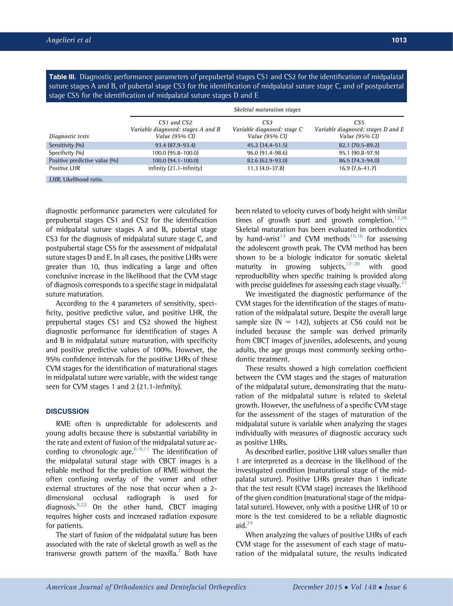<span id="page-3-0"></span>Table III. Diagnostic performance parameters of prepubertal stages CS1 and CS2 for the identification of midpalatal suture stages A and B, of pubertal stage CS3 for the identification of midpalatal suture stage C, and of postpubertal stage CS5 for the identification of midpalatal suture stages D and E

|                               | Skeletal maturation stages                                          |                                                      |                                                                         |  |  |
|-------------------------------|---------------------------------------------------------------------|------------------------------------------------------|-------------------------------------------------------------------------|--|--|
| Diagnostic tests              | CS1 and CS2<br>Variable diagnosed: stages A and B<br>Value (95% CI) | CS3<br>Variable diagnosed: stage C<br>Value (95% CI) | CS <sub>5</sub><br>Variable diagnosed: stages D and E<br>Value (95% CI) |  |  |
| Sensitivity (%)               | 93.4 (87.9-93.4)                                                    | 45.2 (34.4-51.5)                                     | $82.1(70.5-89.2)$                                                       |  |  |
| Specificity (%)               | $100.0$ (95.8-100.0)                                                | 96.0 (91.4-98.6)                                     | 95.1 (90.8-97.9)                                                        |  |  |
| Positive predictive value (%) | 100.0 (94.1-100.0)                                                  | 82.6 (62.9-93.0)                                     | 86.5 (74.3-94.0)                                                        |  |  |
| Positive LHR                  | $in$ finity $(21.1 - in$ finity $)$                                 | $11.3(4.0-37.8)$                                     | $16.9(7.6-41.7)$                                                        |  |  |
| LHR. Likelihood ratio.        |                                                                     |                                                      |                                                                         |  |  |

diagnostic performance parameters were calculated for prepubertal stages CS1 and CS2 for the identification of midpalatal suture stages A and B, pubertal stage CS3 for the diagnosis of midpalatal suture stage C, and postpubertal stage CS5 for the assessment of midpalatal suture stages D and E. In all cases, the positive LHRs were greater than 10, thus indicating a large and often conclusive increase in the likelihood that the CVM stage of diagnosis corresponds to a specific stage in midpalatal suture maturation.

According to the 4 parameters of sensitivity, specificity, positive predictive value, and positive LHR, the prepubertal stages CS1 and CS2 showed the highest diagnostic performance for identification of stages A and B in midpalatal suture maturation, with specificity and positive predictive values of 100%. However, the 95% confidence intervals for the positive LHRs of these CVM stages for the identification of maturational stages in midpalatal suture were variable, with the widest range seen for CVM stages 1 and 2 (21.1-infinity).

# **DISCUSSION**

RME often is unpredictable for adolescents and young adults because there is substantial variability in the rate and extent of fusion of the midpalatal suture ac-cording to chronologic age.<sup>[6-9,11](#page-6-0)</sup> The identification of the midpalatal sutural stage with CBCT images is a reliable method for the prediction of RME without the often confusing overlay of the vomer and other external structures of the nose that occur when a 2 dimensional occlusal radiograph is used for diagnosis.<sup>[8,22](#page-6-0)</sup> On the other hand, CBCT imaging requires higher costs and increased radiation exposure for patients.

The start of fusion of the midpalatal suture has been associated with the rate of skeletal growth as well as the transverse growth pattern of the maxilla.<sup>7</sup> Both have been related to velocity curves of body height with similar times of growth spurt and growth completion.<sup>12,26</sup> Skeletal maturation has been evaluated in orthodontics by hand-wrist<sup>13</sup> and CVM methods<sup>[15,16](#page-6-0)</sup> for assessing the adolescent growth peak. The CVM method has been shown to be a biologic indicator for somatic skeletal maturity in growing subjects,  $17-20$  with good reproducibility when specific training is provided along with precise guidelines for assessing each stage visually. $<sup>2</sup>$ </sup>

We investigated the diagnostic performance of the CVM stages for the identification of the stages of maturation of the midpalatal suture. Despite the overall large sample size ( $N = 142$ ), subjects at CS6 could not be included because the sample was derived primarily from CBCT images of juveniles, adolescents, and young adults, the age groups most commonly seeking orthodontic treatment.

These results showed a high correlation coefficient between the CVM stages and the stages of maturation of the midpalatal suture, demonstrating that the maturation of the midpalatal suture is related to skeletal growth. However, the usefulness of a specific CVM stage for the assessment of the stages of maturation of the midpalatal suture is variable when analyzing the stages individually with measures of diagnostic accuracy such as positive LHRs.

As described earlier, positive LHR values smaller than 1 are interpreted as a decrease in the likelihood of the investigated condition (maturational stage of the midpalatal suture). Positive LHRs greater than 1 indicate that the test result (CVM stage) increases the likelihood of the given condition (maturational stage of the midpalatal suture). However, only with a positive LHR of 10 or more is the test considered to be a reliable diagnostic aid. $^{24}$  $^{24}$  $^{24}$ 

When analyzing the values of positive LHRs of each CVM stage for the assessment of each stage of maturation of the midpalatal suture, the results indicated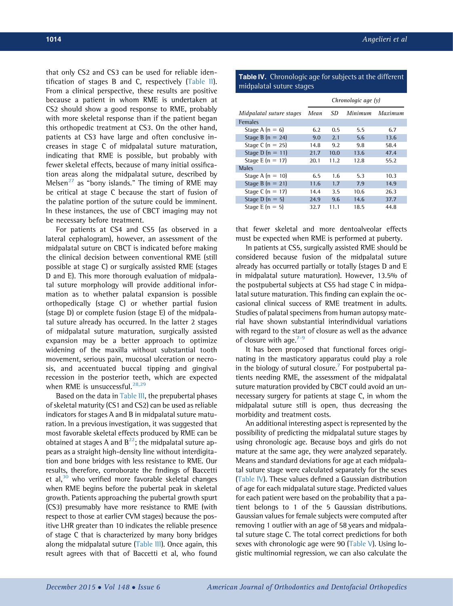that only CS2 and CS3 can be used for reliable identification of stages B and C, respectively ([Table II](#page-2-0)). From a clinical perspective, these results are positive because a patient in whom RME is undertaken at CS2 should show a good response to RME, probably with more skeletal response than if the patient began this orthopedic treatment at CS3. On the other hand, patients at CS3 have large and often conclusive increases in stage C of midpalatal suture maturation, indicating that RME is possible, but probably with fewer skeletal effects, because of many initial ossification areas along the midpalatal suture, described by Melsen<sup>[27](#page-6-0)</sup> as "bony islands." The timing of RME may be critical at stage C because the start of fusion of the palatine portion of the suture could be imminent. In these instances, the use of CBCT imaging may not be necessary before treatment.

For patients at CS4 and CS5 (as observed in a lateral cephalogram), however, an assessment of the midpalatal suture on CBCT is indicated before making the clinical decision between conventional RME (still possible at stage C) or surgically assisted RME (stages D and E). This more thorough evaluation of midpalatal suture morphology will provide additional information as to whether palatal expansion is possible orthopedically (stage C) or whether partial fusion (stage D) or complete fusion (stage E) of the midpalatal suture already has occurred. In the latter 2 stages of midpalatal suture maturation, surgically assisted expansion may be a better approach to optimize widening of the maxilla without substantial tooth movement, serious pain, mucosal ulceration or necrosis, and accentuated buccal tipping and gingival recession in the posterior teeth, which are expected when RME is unsuccessful. $28,29$ 

Based on the data in [Table III,](#page-3-0) the prepubertal phases of skeletal maturity (CS1 and CS2) can be used as reliable indicators for stages A and B in midpalatal suture maturation. In a previous investigation, it was suggested that most favorable skeletal effects produced by RME can be obtained at stages A and  $B^{22}$ ; the midpalatal suture appears as a straight high-density line without interdigitation and bone bridges with less resistance to RME. Our results, therefore, corroborate the findings of Baccetti et al, $30$  who verified more favorable skeletal changes when RME begins before the pubertal peak in skeletal growth. Patients approaching the pubertal growth spurt (CS3) presumably have more resistance to RME (with respect to those at earlier CVM stages) because the positive LHR greater than 10 indicates the reliable presence of stage C that is characterized by many bony bridges along the midpalatal suture ([Table III](#page-3-0)). Once again, this result agrees with that of Baccetti et al, who found

# Table IV. Chronologic age for subjects at the different midpalatal suture stages

|                          | Chronologic age (y) |      |         |         |  |  |
|--------------------------|---------------------|------|---------|---------|--|--|
| Midpalatal suture stages | Mean                | SD   | Minimum | Marimum |  |  |
| <b>Females</b>           |                     |      |         |         |  |  |
| Stage A $(n = 6)$        | 6.2                 | 0.5  | 5.5     | 6.7     |  |  |
| Stage B $(n = 24)$       | 9.0                 | 2.1  | 5.6     | 13.6    |  |  |
| Stage C $(n = 25)$       | 14.8                | 9.2  | 9.8     | 58.4    |  |  |
| Stage D $(n = 11)$       | 21.7                | 10.0 | 13.6    | 47.4    |  |  |
| Stage E $(n = 17)$       | 20.1                | 11.2 | 12.8    | 55.2    |  |  |
| <b>Males</b>             |                     |      |         |         |  |  |
| Stage A $(n = 10)$       | 6.5                 | 1.6  | 5.3     | 10.3    |  |  |
| Stage B $(n = 21)$       | 11.6                | 1.7  | 7.9     | 14.9    |  |  |
| Stage C $(n = 17)$       | 14.4                | 3.5  | 10.6    | 26.3    |  |  |
| Stage D $(n = 5)$        | 24.9                | 9.6  | 14.6    | 37.7    |  |  |
| Stage E $(n = 5)$        | 32.7                | 11.1 | 18.5    | 44.8    |  |  |

that fewer skeletal and more dentoalveolar effects must be expected when RME is performed at puberty.

In patients at CS5, surgically assisted RME should be considered because fusion of the midpalatal suture already has occurred partially or totally (stages D and E in midpalatal suture maturation). However, 13.5% of the postpubertal subjects at CS5 had stage C in midpalatal suture maturation. This finding can explain the occasional clinical success of RME treatment in adults. Studies of palatal specimens from human autopsy material have shown substantial interindividual variations with regard to the start of closure as well as the advance of closure with age.<sup>[7-9](#page-6-0)</sup>

It has been proposed that functional forces originating in the masticatory apparatus could play a role in the biology of sutural closure.<sup>[7](#page-6-0)</sup> For postpubertal patients needing RME, the assessment of the midpalatal suture maturation provided by CBCT could avoid an unnecessary surgery for patients at stage C, in whom the midpalatal suture still is open, thus decreasing the morbidity and treatment costs.

An additional interesting aspect is represented by the possibility of predicting the midpalatal suture stages by using chronologic age. Because boys and girls do not mature at the same age, they were analyzed separately. Means and standard deviations for age at each midpalatal suture stage were calculated separately for the sexes (Table IV). These values defined a Gaussian distribution of age for each midpalatal suture stage. Predicted values for each patient were based on the probability that a patient belongs to 1 of the 5 Gaussian distributions. Gaussian values for female subjects were computed after removing 1 outlier with an age of 58 years and midpalatal suture stage C. The total correct predictions for both sexes with chronologic age were 90 ([Table V](#page-5-0)). Using logistic multinomial regression, we can also calculate the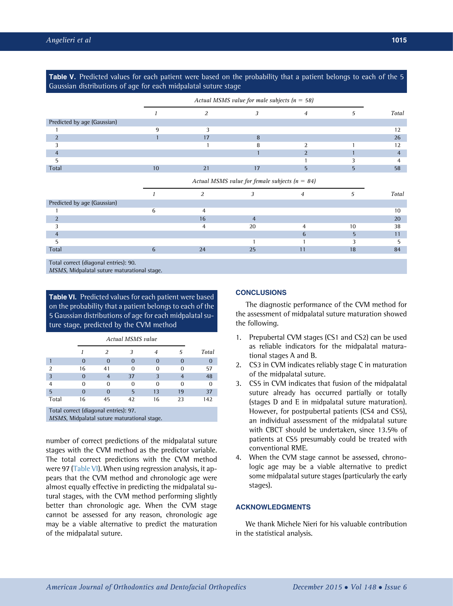<span id="page-5-0"></span>Table V. Predicted values for each patient were based on the probability that a patient belongs to each of the 5 Gaussian distributions of age for each midpalatal suture stage Actual MSMS value for male subjects  $(n = 58)$  $1$  2 3 4 5 Total Predicted by age (Gaussian)  $1$  and  $9$  3 3 3 3 4  $12$ 2  $1$  17  $8$  26 3 1 8 2 1 1 2 4 1  $2$  1  $4$  $5$  1 3 4 Total 10  $10$   $21$   $17$   $5$   $5$   $58$ Actual MSMS value for female subjects  $(n = 84)$ 1 2 3 4 5 Total Predicted by age (Gaussian)

|       |        |          |     | 20<br>zu |
|-------|--------|----------|-----|----------|
|       |        | 20<br>∠∪ | 1 C | 38       |
|       |        |          |     |          |
|       |        |          |     |          |
| Total | $\sim$ | $\cap$   | י ו | 84       |
|       |        |          |     |          |

Total correct (diagonal entries): 90.

MSMS, Midpalatal suture maturational stage.

Table VI. Predicted values for each patient were based on the probability that a patient belongs to each of the 5 Gaussian distributions of age for each midpalatal suture stage, predicted by the CVM method

|                                                                                                                                 | <b>Actual MSMS value</b> |                                                     |              |    |    |       |
|---------------------------------------------------------------------------------------------------------------------------------|--------------------------|-----------------------------------------------------|--------------|----|----|-------|
|                                                                                                                                 |                          | $\mathcal{L}$                                       |              | 4  | 5  | Total |
|                                                                                                                                 | 0                        | O                                                   | $\mathbf{0}$ | 0  |    |       |
| 2                                                                                                                               | 16                       | 41                                                  | 0            |    | O  | 57    |
| 3                                                                                                                               | 0                        | 4                                                   | 37           |    |    | 48    |
|                                                                                                                                 | O                        | $\Omega$                                            | O            | O  | O  |       |
| 5                                                                                                                               | 0                        | O                                                   | 5            | 13 | 19 | 37    |
| Total                                                                                                                           | 16                       | 45                                                  | 42           | 16 | 23 | 142   |
| $\mathcal{L}^{\text{max}}_{\text{max}}$ and $\mathcal{L}^{\text{max}}_{\text{max}}$ and $\mathcal{L}^{\text{max}}_{\text{max}}$ | <b>Service Contracts</b> | the contract of the contract of the contract of the |              |    |    |       |

Total correct (diagonal entries): 97.

MSMS, Midpalatal suture maturational stage.

number of correct predictions of the midpalatal suture stages with the CVM method as the predictor variable. The total correct predictions with the CVM method were 97 (Table VI). When using regression analysis, it appears that the CVM method and chronologic age were almost equally effective in predicting the midpalatal sutural stages, with the CVM method performing slightly better than chronologic age. When the CVM stage cannot be assessed for any reason, chronologic age may be a viable alternative to predict the maturation of the midpalatal suture.

### **CONCLUSIONS**

The diagnostic performance of the CVM method for the assessment of midpalatal suture maturation showed the following.

- 1. Prepubertal CVM stages (CS1 and CS2) can be used as reliable indicators for the midpalatal maturational stages A and B.
- 2. CS3 in CVM indicates reliably stage C in maturation of the midpalatal suture.
- 3. CS5 in CVM indicates that fusion of the midpalatal suture already has occurred partially or totally (stages D and E in midpalatal suture maturation). However, for postpubertal patients (CS4 and CS5), an individual assessment of the midpalatal suture with CBCT should be undertaken, since 13.5% of patients at CS5 presumably could be treated with conventional RME.
- 4. When the CVM stage cannot be assessed, chronologic age may be a viable alternative to predict some midpalatal suture stages (particularly the early stages).

# ACKNOWLEDGMENTS

We thank Michele Nieri for his valuable contribution in the statistical analysis.